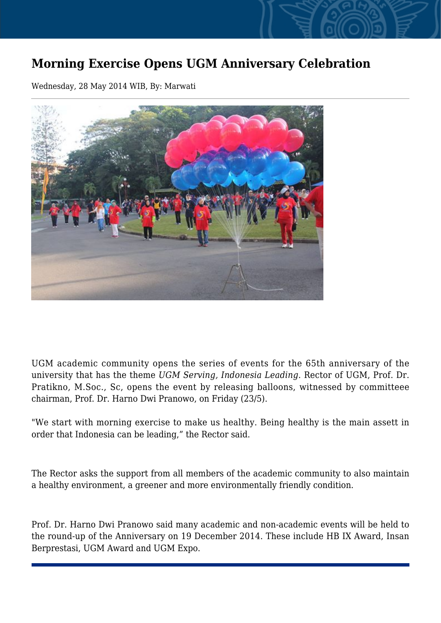## **Morning Exercise Opens UGM Anniversary Celebration**

Wednesday, 28 May 2014 WIB, By: Marwati



UGM academic community opens the series of events for the 65th anniversary of the university that has the theme *UGM Serving, Indonesia Leading*. Rector of UGM, Prof. Dr. Pratikno, M.Soc., Sc, opens the event by releasing balloons, witnessed by committeee chairman, Prof. Dr. Harno Dwi Pranowo, on Friday (23/5).

"We start with morning exercise to make us healthy. Being healthy is the main assett in order that Indonesia can be leading," the Rector said.

The Rector asks the support from all members of the academic community to also maintain a healthy environment, a greener and more environmentally friendly condition.

Prof. Dr. Harno Dwi Pranowo said many academic and non-academic events will be held to the round-up of the Anniversary on 19 December 2014. These include HB IX Award, Insan Berprestasi, UGM Award and UGM Expo.